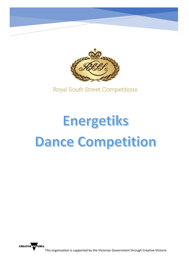

**Royal South Street Competitions** 

# Energetiks **Dance Competition**



This organisation is supported by the Victorian Government through Creative Victoria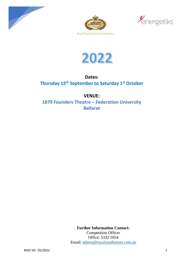







## **Dates: Thursday 15th September to Saturday 1st October**

**VENUE:**

**1879 Founders Theatre – Federation University Ballarat**

> **Further Information Contact:** Competition Officer Office: 5332 1054 Email: [admin@royalsouthstreet.com.au](mailto:admin@royalsouthstreet.com.au)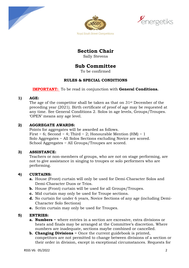





## **Section Chair**

Sally Stevens

## **Sub Committee**

To be confirmed

#### **RULES & SPECIAL CONDITIONS**

#### **IMPORTANT:** To be read in conjunction with **General Conditions.**

#### **1) AGE:**

The age of the competitor shall be taken as that on 31st December of the preceding year (2021). Birth certificate of proof of age may be requested at any time. See General Conditions 2. Solos in age levels, Groups/Troupes. 'OPEN' means any age level.

#### **2) AGGREGATE AWARDS:**

Points for aggregates will be awarded as follows. First  $\sim$  6; Second  $\sim$  4; Third  $\sim$  2; Honourable Mention (HM)  $\sim$  1 Solo Aggregates ~ All Solos Sections excluding Novice are scored. School Aggregates ~ All Groups/Troupes are scored.

#### **3) ASSISTANCE:**

Teachers or non-members of groups, who are not on stage performing, are not to give assistance in singing to troupes or solo performers who are performing.

#### **4) CURTAINS:**

- **a.** House (Front) curtain will only be used for Demi-Character Solos and Demi-Character Duos or Trios.
- **b.** House (Front) curtain will be used for all Groups/Troupes.
- **c.** Mid curtain may only be used for Troupe sections.
- **d.** No curtain for under 6 years, Novice Sections of any age (including Demi-Character Solo Sections)
- **e.** Scrim curtain may only be used for Troupes.

#### **5) ENTRIES:**

- **a. Numbers ~** where entries in a section are excessive, extra divisions or heats and finals may be arranged at the Committee's discretion. Where numbers are inadequate, sections maybe combined or cancelled.
- **b. Changing Divisions ~** Once the current guidebook is printed, competitors are not permitted to change between divisions of a section or their order in division, except in exceptional circumstances. Requests for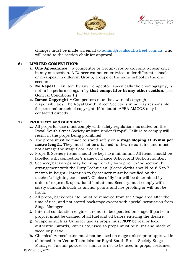





changes must be made via email to [admin@royalsouthstreet.com.au](mailto:admin@royalsouthstreet.com.au) who will send to the section chair for approval.

#### **6) LIMITED COMPETITION:**

- **a. One Appearance** ~ a competitor or Group/Troupe can only appear once in any one section. A Dancer cannot enter twice under different schools or re-appear in different Group/Troupe of the same school in the one section.
- **b. No Repeat ~** An item by any Competitor, specifically the choreography, is not to be performed again by **that competitor in any other section**. (see General Conditions 1.)
- **c. Dance Copyright ~** Competitors must be aware of copyright responsibilities. The Royal South Street Society is in no way responsible for personal breach of copyright. If in doubt, APRA AMCOS may be contacted directly.

#### **7) PROPERTY and SCENERY:**

- **a.** All props for use must comply with safety regulations as stated on the Royal South Street Society website under "Props". Failure to comply will result in the props being prohibited.
- **b.** The props must be made to stand safely on a **stage sloping at 37mm per metre length.** They must not be attached to theatre curtains and must not damage the stage floor. See 16.5
- **c.** Props & Scenery items should be kept to a minimum. All items should be labelled with competitor's name or Dance School and Section number.
- **d.** Scenery/backdrops may be hung from fly bars prior to the section, by arrangement with the Duty Technician. (Scene cloths should be 6.5 to 7 metres in height). Intention to fly scenery must be notified on the teacher's "lighting cue sheet". Choice of fly bar will be determined by order of request & operational limitations. Scenery must comply with safety standards such as anchor points and fire proofing or will not be hung.
- **e.** All props, backdrops etc. must be removed from the Stage area after the time of use, and not stored backstage except with special permission from Stage Manager.
- **f.** Internal combustion engines are not to be operated on stage. If part of a prop, it must be drained of all fuel and oil before entering the theatre.
- **g.** Weapons such as Guns for use as props must **NOT** be real or look authentic. Swords, knives etc, used as props must be blunt and made of wood or plastic.
- **h.** Chemical Aerosol cans must not be used on stage unless prior approval is obtained from Venue Technician or Royal South Street Society Stage Manager. Talcum powder or similar is not to be used in props, costumes,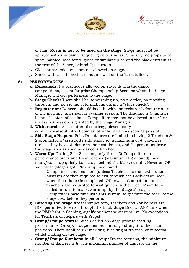





or hair. **Rosin is not to be used on the stage.** Stage must not be sprayed with any paint, lacquer, glue or similar. Similarly, no props to be spray painted, lacquered, glued or similar up behind the black curtain at the rear of the Stage, behind Cyc curtain.

- **i.** Glass or ceramic items are not allowed on stage.
- **j.** Shoes with stiletto heels are not allowed on the Tarkett floor.

#### **8) PERFORMANCES:**

- **a. Rehearsals:** No practice is allowed on stage during the dance competitions, except for prior Championship Sections when the Stage Manager will call performers to the stage.
- **b. Stage Check:** There shall be no warming up, no practice, no marking through, and no setting of formations during a "stage check".
- **c. Registration:** Dancers should book in with the registrar before the start of the morning, afternoon or evening session. The deadline is 5 minutes before the start of section. Competitors may not be allowed to perform unless permission is granted by the Stage Manager.
- **d. Withdrawals:** As a matter of courtesy, please notify admin@royalsouthstreet.com.au of withdrawals as soon as possible.
- **e. Side Stage Helpers:** Solo/Duo dances are limited to having 2 Teachers & 2 prop helpers/assistants side stage; so, a maximum of 4. Teachers (unless they have students in the next dance), and Helpers must leave the stage area as soon as dance is finished.
- **f. Warm Up:** During Solo Sessions, only three (3) Competitors in performance order and their Teacher (Maximum of 2 allowed) may mark/warm up quietly backstage behind the black curtain. Never on OP side stage (stage right). No Jumping allowed.
	- i. Competitors and Teachers (unless Teacher has the next student onstage) are then required to exit through the Back-Stage Door when their dance is completed. Otherwise, Competitors and Teachers are requested to wait quietly in the Green Room to be called in turn to mark/warm up, by the Stage Manager. Competitors have time with this system, to get "into the zone" of the stage area before they perform.
- **g. Entering the Stage Area:** Competitors, Teachers and /or helpers are NOT permitted to enter through the Back-Stage Door at ANY time when the RED light is flashing, signifying that the stage is live. No exceptions, for Teachers or helpers with Props!
- **h. Group/Troupe Starts:** When called on Stage prior to starting performance, Group/Troupe members must go straight to their start positions. There shall be NO marking, blocking of troupes, or rehearsal whilst waiting on the stage.
- **i. Group/Troupe Numbers:** In all Group/Troupe sections, the minimum number of dancers is **6**. The maximum number of dancers on the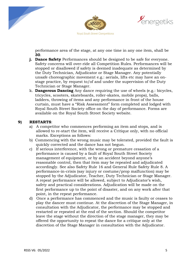





performance area of the stage, at any one time in any one item, shall be **30**.

- **j. Dance Safety** Performances should be designed to be safe for everyone. Safety concerns will over-ride all Competition Rules. Performances will be stopped or disallowed if safety is deemed inadequate as determined by the Duty Technician, Adjudicator or Stage Manager. Any potentially unsafe choreographic movement e.g.: aerials, lifts etc may have an onstage practice, by request to/of and under the supervision of the Duty Technician or Stage Manager.
- k. **Dangerous Dancing** Any dance requiring the use of wheels (e.g.: bicycles, tricycles, scooters, skateboards, roller-skates, mobile props), balls, ladders, throwing of items and any performance in front of the house curtain, must have a "Risk Assessment" form completed and lodged with Royal South Street Society office on the day of performance. Forms are available on the Royal South Street Society website.

#### **9) RESTARTS**:

- a) A competitor who commences performing an item and stops, and is allowed to re-start the item, will receive a Critique only, with no official marks. Exceptions as follows:
- b) Commencing with the wrong music may be tolerated, provided the fault is quickly corrected and the dance has not begun.
- c) If serious interference, with the wrong or premature cessation of a performance is caused by a fault of Royal South Street Society management of equipment, or by an accident beyond anyone's reasonable control, then that item may be repeated and adjudicated accordingly. See also Safety Rule 16 and General Rule Safety Rule 8. A performance-in-crisis (say injury or costume/prop malfunction) may be stopped by the Adjudicator, Teacher, Duty Technician or Stage Manager. A repeat performance will be allowed, subject to Adjudicator's wish, safety and practical considerations. Adjudication will be made on the first performance up to the point of disaster, and on any work after that point, in the repeat performance.
- d) Once a performance has commenced and the music is faulty or ceases to play the dancer must continue. At the discretion of the Stage Manager, in consultation with the Adjudicator, the performance may be stopped and restarted or repeated at the end of the section. Should the competitor leave the stage without the direction of the stage manager, they may be offered the opportunity to repeat the dance for a critique only at the discretion of the Stage Manager in consultation with the Adjudicator.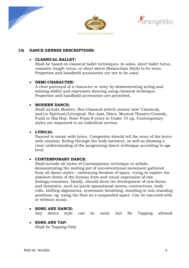





#### **10) DANCE GENRES DESCRIPTIONS:**

#### • **CLASSICAL BALLET:**

Shall be based on classical ballet techniques. In solos, short ballet tutus, romantic length tutus, or short skirts (Balanchine Style) to be worn. Properties and handheld accessories are not to be used.

#### • **DEMI-CHARACTER:**

A clear portrayal of a character or story by demonstrating acting and miming ability and expressive dancing using classical technique. Properties and handheld accessories are permitted.

#### • **MODERN DANCE:**

Shall include Modern, Neo-Classical (which means 'new' Classical), and/or Spiritual/Liturgical. Not Jazz, Disco, Musical Theatre/Comedy, Funk or Hip Hop. Note**:** From 8 years to Under 10 up, Contemporary styles are separated to an individual section.

#### • **LYRICAL**

Danced to music with lyrics. Competitor should tell the story of the lyrics with emotion, feeling through the body (artistry), as well as showing a clear understanding of the progressing dance technique according to age level.

#### • **CONTEMPORARY DANCE:**

Shall include all styles of Contemporary technique or syllabi, demonstrating the melting pot of unconventional movement gathered from all dance styles – embracing freedom of space, trying to explore the absolute limits of the human from and visual expression of raw feelings/emotions. Ideally, should show the development of new forms and dynamics, such as quick oppositional moves, contractions, body rolls, shifting alignments, systematic breathing, standing or non-standing positions. eg: using the floor as a suspended space. Can be executed with or without music.

#### • **SONG AND DANCE:**

Any dance style can be used, but No Tapping allowed.

• **SONG AND TAP:** Shall be Tapping Only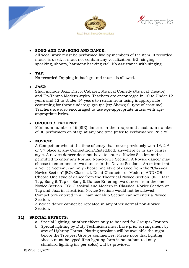





#### • **SONG AND TAP/SONG AND DANCE:**

All vocal work must be performed live by members of the item. If recorded music is used, it must not contain any vocalization. EG: singing, speaking, shouts, harmony backing etc). No assistance with singing.

#### • **TAP:**

No recorded Tapping in background music is allowed.

#### • **JAZZ:**

Shall include Jazz, Disco, Cabaret, Musical Comedy (Musical Theatre) and Up-Tempo Modern styles. Teachers are encouraged in 10 to Under 12 years and 12 to Under 14 years to refrain from using inappropriate costuming for these underage groups (eg: Showgirl; type of costume). Teachers are also encouraged to use age-appropriate music with ageappropriate lyrics.

#### • **GROUPS / TROUPES:**

Minimum number of 6 (SIX) dancers in the troupe and maximum number of 30 performers on stage at any one time (refer to Performance Rule 8i).

#### • **NOVICE:**

A Competitor who at the time of entry, has never previously won 1st, 2nd or 3rd place at any Competition/Eisteddfod, anywhere or in any genre/ style. A novice dancer does not have to enter a Novice Section and is permitted to enter any Normal Non-Novice Section. A Novice dancer may choose to enter one or two dances in the Novice Sections. An entrant into a Novice Section, can only choose one style of dance from the "Classical Novice Section" (EG: Classical, Demi-Character or Modern) AND/OR Choose One style of dance from the Theatrical Novice Section. (EG: Jazz, Tap, Song & Tap or Song & Dance) Entering two dances from the one Novice Section (EG: Classical and Modern in Classical Novice Section or Tap and Jazz in Theatrical Novice Section) would not be allowed. Competitors entered in a Championship Section cannot enter a Novice Section.

A novice dance cannot be repeated in any other normal non-Novice Section**.**

#### **11) SPECIAL EFFECTS:**

- a. Special lighting, or other effects only to be used for Groups/Troupes.
- b. Special lighting by Duty Technician must have prior arrangement by way of Lighting Forms. Plotting sessions will be available the night before the Troupes/Groups commences. Please note that lighting sheets must be typed if no lighting form is not submitted only standard lighting (as per solos) will be provided.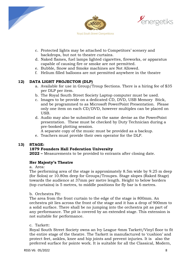





- c. Protected lights may be attached to Competitors' scenery and backdrops, but not to theatre curtains.
- d. Naked flames, fuel lamps lighted cigarettes, fireworks, or apparatus capable of causing fire or smoke are not permitted.
- e. Bubble, Snow and Smoke machines are Not Allowed.
- f. Helium filled balloons are not permitted anywhere in the theatre

#### **12) DATA LIGHT PROJECTOR (DLP)**

- a. Available for use in Group/Troup Sections. There is a hiring fee of \$35 per DLP per item.
- b. The Royal South Street Society Laptop computer must be used.
- c. Images to be provide on a dedicated CD, DVD, USB Memory Stick, and be programmed to as Microsoft PowerPoint Presentation. Please only one item on each CD/DVD, however multiples can be placed on USB.
- d. Audio may also be submitted on the same devise as the PowerPoint presentation. These must be checked by Duty Technician during a pre-booked plotting session.

A separate copy of the music must be provided as a backup.

e. Teachers must provide their own operator for the DLP.

#### **13) STAGE:**

#### **1879 Founders Hall Federation University**

**2022 –** Measurements to be provided to entrants after closing date.

#### **Her Majesty's Theatre**

a. Area:

The performing area of the stage is approximately 8.5m wide by 9.25 m deep (for Solos) or 10.80m deep for Groups/Troupes. Stage slopes (Raked Stage) towards the audience at 37mm per metre length. Height to below borders (top curtains) is 5 metres, to middle positions for fly bar is 6 metres.

b. Orchestra Pit:

The area from the front curtain to the edge of the stage is 800mm. An orchestra pit lies across the front of the stage and it has a drop of 900mm to a solid surface. There shall be no jumping into the orchestra pit as part of any performance. The pit is covered by an extended stage. This extension is not suitable for performance.

#### c. Tarkett:

Royal South Street Society owns an Ivy League 4mm Tarkett/Vinyl floor to fit the entire stage of the theatre. The Tarkett is manufactured to 'cushion' and protect feet, ankles, knee and hip joints and prevent injuries. It is also the preferred surface for pointe work. It is suitable for all the Classical, Modern,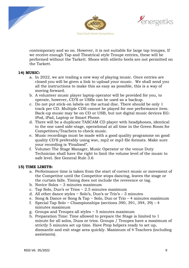





contemporary and so on. However, it is not suitable for large tap troupes. If we receive enough Tap and Theatrical style Troupe entries, these will be performed without the Tarkett. Shoes with stiletto heels are not permitted on the Tarkett.

#### **14) MUSIC:**

- a. In 2022, we are trailing a new way of playing music. Once entries are closed you will be given a link to upload your music. We shall send you all the instructions to make this as easy as possible, this is a way of moving forward.
- b. A volunteer music player laptop operator will be provided for you, to operate, however, CD'S or USBs can be used as a backup.
- c. Do not put stick-on labels on the actual disc. There should be only 1 track per CD. Multiple CDS cannot be played for one performance item. Back-up music may be on CD or USB, but not digital music devices EG: iPod, iPad, Laptop or Smart Phone.
- d. There will be a duplicate TASCAM CD player with headphones, identical to the one used side-stage, operational at all time in the Green Room for Competitors/Teachers to check music.
- e. Music recordings must be made with a good quality programme on good quality CD'S preferably using wav, mp2 or mp3 file formats. Make sure your recording is 'Finalised".
- f. Volume**:** The Stage Manager, Music Operator or the venue Duty Technician shall have the right to limit the volume level of the music to safe level. See General Rule 3.6

#### **15) TIME LIMITS:**

- a. Performance time is taken from the start of correct music or movement of the Competitor until the Competitor stops dancing, leaves the stage or the curtain falls. Timing does not include the reverence or tag.
- b. Novice Solos ~ 3 minutes maximum
- c. Tap Solo, Duo's or Trios ~ 2.5 minutes maximum
- d. All other dance styles ~ Solo's, Duo's or Trio's 3 minutes
- e. Song & Dance or Song & Tap ~ Solo, Duo or Trio 4 minutes maximum
- f. Special Tap Solo  $\sim$  Championships (sections 390, 391, 394, 39) 4 minutes maximum
- g. Groups and Troupes all styles ~ 5 minutes maximum
- h. Preparation Time: Time allowed to prepare the Stage is limited to 1 minute for all solos, Duos or trios. Groups / Troupes have a maximum of strictly 5 minutes set up time. Have Prop helpers ready to set up, dismantle and exit stage area quickly. Maximum of 4 Teachers (including assistants).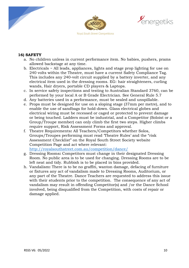





#### **16) SAFETY**

- a. No children unless in current performance item. No babies, pushers, prams allowed backstage at any time.
- b. Electricals ~ All leads, appliances, lights and stage prop lighting for use on 240 volts within the Theatre, must have a current Safety Compliance Tag. This includes any 240-volt circuit supplied by a battery inverter, and any electrical item used in the dressing rooms. EG: hair straighteners, curling wands, Hair dryers, portable CD players & Laptops.
- c. In service safety inspections and testing to Australian Standard 3760, can be performed by your local A or B Grade Electrician. See General Rule 5.7
- d. Any batteries used in a performance, must be sealed and unspillable.
- e. Props must be designed for use on a sloping stage (37mm per metre), and to enable the use of sandbags for hold-down. Glass electrical globes and electrical wiring must be recessed or caged or protected to prevent damage or being touched. Ladders must be industrial, and a Competitor (Soloist or a Group/Troupe member) can only climb the first two steps. Higher climbs require support, Risk Assessment Forms and approval.
- f. Theatre Requirements**:** All Teachers/Competitors whether Solos, Groups/Troupes performing must read 'Theatre Rules' and the "risk Assessment Checklist" on the Royal South Street Society website Competition Page and act where relevant: <http://royalsouthstreet.com.au/competition/dance/>
- g. Dressing Rooms**:** Competitors must change in their designated Dressing Room. No public area is to be used for changing. Dressing Rooms are to be left neat and tidy. Rubbish is to be placed in bins provided.
- h. Vandalism**:** There is to be no graffiti, wanton damage, defacing of furniture or fixtures any act of vandalism made to Dressing Rooms, Auditorium, or any part of the Theatre. Dance Teachers are requested to address this issue with their students prior to the competition. The consequence of any act of vandalism may result in offending Competitor(s) and /or the Dance School involved, being disqualified from the Competition, with costs of repair or damage applied.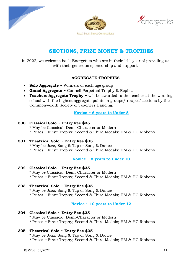





## **SECTIONS, PRIZE MONEY & TROPHIES**

In 2022, we welcome back Energetiks who are in their 14th year of providing us with their generous sponsorship and support.

#### **AGGREGATE TROPHIES**

- **Solo Aggregate ~** Winners of each age group
- **Grand Aggregate ~** Connell Perpetual Trophy & Replica
- **Teachers Aggregate Trophy ~** will be awarded to the teacher at the winning school with the highest aggregate points in groups/troupes' sections by the Commonwealth Society of Teachers Dancing**.**

#### **Novice ~ 6 years to Under 8**

#### **300 Classical Solo ~ Entry Fee \$35**

- \* May be Classical, Demi-Character or Modern
- \* Prizes ~ First: Trophy; Second & Third Medals; HM & HC Ribbons

#### **301 Theatrical Solo ~ Entry Fee \$35**

- \* May be Jazz, Song & Tap or Song & Dance
- \* Prizes ~ First: Trophy; Second & Third Medals; HM & HC Ribbons

#### **Novice ~ 8 years to Under 10**

#### **302 Classical Solo ~ Entry Fee \$35**

- \* May be Classical, Demi-Character or Modern
- \* Prizes ~ First: Trophy; Second & Third Medals; HM & HC Ribbons

#### **303 Theatrical Solo ~ Entry Fee \$35**

- \* May be Jazz, Song & Tap or Song & Dance
- \* Prizes ~ First: Trophy; Second & Third Medals; HM & HC Ribbons

#### **Novice ~ 10 years to Under 12**

#### **304 Classical Solo ~ Entry Fee \$35**

- \* May be Classical, Demi-Character or Modern
- \* Prizes ~ First: Trophy; Second & Third Medals; HM & HC Ribbons

#### **305 Theatrical Solo ~ Entry Fee \$35**

- \* May be Jazz, Song & Tap or Song & Dance
- \* Prizes ~ First: Trophy; Second & Third Medals; HM & HC Ribbons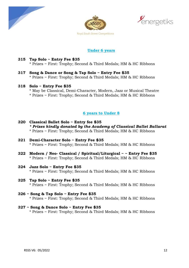





#### **Under 6 years**

## **315 Tap Solo ~ Entry Fee \$35** \* Prizes ~ First: Trophy; Second & Third Medals; HM & HC Ribbons

**317 Song & Dance or Song & Tap Solo ~ Entry Fee \$35** \* Prizes ~ First: Trophy; Second & Third Medals; HM & HC Ribbons

#### **318 Solo ~ Entry Fee \$35**

\* May be Classical, Demi-Character, Modern, Jazz or Musical Theatre \* Prizes ~ First: Trophy; Second & Third Medals; HM & HC Ribbons

#### **6 years to Under 8**

#### **320 Classical Ballet Solo ~ Entry fee \$35** *\* Prizes kindly donated by the Academy of Classical Ballet Ballarat* \* Prizes ~ First: Trophy; Second & Third Medals; HM & HC Ribbons

- **321 Demi-Character Solo ~ Entry Fee \$35** \* Prizes ~ First: Trophy; Second & Third Medals; HM & HC Ribbons
- **322 Modern / Neo- Classical / Spiritual/Liturgical ~ ~ Entry Fee \$35** \* Prizes ~ First: Trophy; Second & Third Medals; HM & HC Ribbons

#### **324 Jazz Solo ~ Entry Fee \$35** \* Prizes ~ First: Trophy; Second & Third Medals; HM & HC Ribbons

- **325 Tap Solo ~ Entry Fee \$35** \* Prizes ~ First: Trophy; Second & Third Medals; HM & HC Ribbons
- **326 ~ Song & Tap Solo ~ Entry Fee \$35** \* Prizes ~ First: Trophy; Second & Third Medals; HM & HC Ribbons

#### **327 ~ Song & Dance Solo ~ Entry Fee \$35**

\* Prizes ~ First: Trophy; Second & Third Medals; HM & HC Ribbons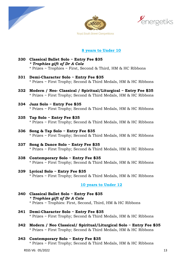





#### **8 years to Under 10**

- **330 Classical Ballet Solo ~ Entry Fee \$35** *\* Trophies gift of Dr A Cole* \* Prizes ~ Trophies ~ First, Second & Third, HM & HC Ribbons
- **331 Demi-Character Solo ~ Entry Fee \$35** \* Prizes ~ First Trophy; Second & Third Medals, HM & HC Ribbons
- **332 Modern / Neo- Classical / Spiritual/Liturgical ~ Entry Fee \$35** \* Prizes ~ First Trophy; Second & Third Medals, HM & HC Ribbons
- **334 Jazz Solo ~ Entry Fee \$35** \* Prizes ~ First Trophy; Second & Third Medals, HM & HC Ribbons
- **335 Tap Solo ~ Entry Fee \$35** \* Prizes ~ First Trophy; Second & Third Medals, HM & HC Ribbons
- **336 Song & Tap Solo ~ Entry Fee \$35** \* Prizes ~ First Trophy; Second & Third Medals, HM & HC Ribbons
- **337 Song & Dance Solo ~ Entry Fee \$35** \* Prizes ~ First Trophy; Second & Third Medals, HM & HC Ribbons
- **338 Contemporary Solo ~ Entry Fee \$35** \* Prizes ~ First Trophy; Second & Third Medals, HM & HC Ribbons
- **339 Lyrical Solo ~ Entry Fee \$35** \* Prizes ~ First Trophy; Second & Third Medals, HM & HC Ribbons

#### **10 years to Under 12**

- **340 Classical Ballet Solo ~ Entry Fee \$35** *\* Trophies gift of Dr A Cole* \* Prizes ~ Trophies: First, Second, Third, HM & HC Ribbons
- **341 Demi-Character Solo ~ Entry Fee \$35** \* Prizes ~ First Trophy; Second & Third Medals, HM & HC Ribbons
- **342 Modern / Neo Classical/ Spiritual/Liturgical Solo ~ Entry Fee \$35** \* Prizes ~ First Trophy; Second & Third Medals, HM & HC Ribbons
- **343 Contemporary Solo ~ Entry Fee \$35**

\* Prizes ~ First Trophy; Second & Third Medals, HM & HC Ribbons

RSSS V6: 05/2022 13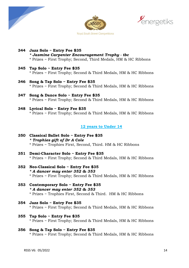





- **344 Jazz Solo ~ Entry Fee \$35** *\* Jasmine Carpenter Encouragement Trophy - tbc* \* Prizes ~ First Trophy; Second, Third Medals, HM & HC Ribbons
- **345 Tap Solo ~ Entry Fee \$35** \* Prizes ~ First Trophy; Second & Third Medals, HM & HC Ribbons
- **346 Song & Tap Solo ~ Entry Fee \$35** \* Prizes ~ First Trophy; Second & Third Medals, HM & HC Ribbons
- **347 Song & Dance Solo ~ Entry Fee \$35** \* Prizes ~ First Trophy; Second & Third Medals, HM & HC Ribbons
- **348 Lyrical Solo ~ Entry Fee \$35** \* Prizes ~ First Trophy; Second & Third Medals, HM & HC Ribbons

#### **12 years to Under 14**

- **350 Classical Ballet Solo ~ Entry Fee \$35** *\* Trophies gift of Dr A Cole* \* Prizes ~ Trophies First, Second, Third. HM & HC Ribbons
- **351 Demi-Character Solo ~ Entry Fee \$35** \* Prizes ~ First Trophy; Second & Third Medals, HM & HC Ribbons
- **352 Neo-Classical Solo ~ Entry Fee \$35** *\* A dancer may enter 352 & 353* \* Prizes ~ First Trophy; Second & Third Medals, HM & HC Ribbons
- **353 Contemporary Solo ~ Entry Fee \$35** *\* A dancer may enter 352 & 353* \* Prizes ~ Trophies First, Second & Third. HM & HC Ribbons
- **354 Jazz Solo ~ Entry Fee \$35** \* Prizes ~ First Trophy; Second & Third Medals, HM & HC Ribbons
- **355 Tap Solo ~ Entry Fee \$35** \* Prizes ~ First Trophy; Second & Third Medals, HM & HC Ribbons
- **356 Song & Tap Solo ~ Entry Fee \$35** \* Prizes ~ First Trophy; Second & Third Medals, HM & HC Ribbons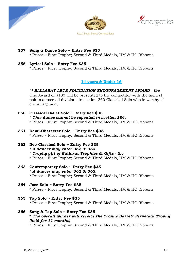





#### **357 Song & Dance Solo ~ Entry Fee \$35**

\* Prizes ~ First Trophy; Second & Third Medals, HM & HC Ribbons

#### **358 Lyrical Solo ~ Entry Fee \$35**

\* Prizes ~ First Trophy; Second & Third Medals, HM & HC Ribbons

#### **14 years & Under 16**

*\*\* BALLARAT ARTS FOUNDATION ENCOURAGEMENT AWARD - tbc* One Award of \$100 will be presented to the competitor with the highest points across all divisions in section 360 Classical Solo who is worthy of encouragement.

- **360 Classical Ballet Solo ~ Entry Fee \$35** *\* This dance cannot be repeated in section 384.* \* Prizes ~ First Trophy; Second & Third Medals, HM & HC Ribbons **361 Demi-Character Solo ~ Entry Fee \$35** \* Prizes ~ First Trophy; Second & Third Medals, HM & HC Ribbons
- **362 Neo-Classical Solo ~ Entry Fee \$35**
	- *\* A dancer may enter 362 & 363.*
	- *\* Trophy gift of Ballarat Trophies & Gifts - tbc*

\* Prizes ~ First Trophy; Second & Third Medals, HM & HC Ribbons

- **363 Contemporary Solo ~ Entry Fee \$35** *\* A dancer may enter 362 & 363.* \* Prizes ~ First Trophy; Second & Third Medals, HM & HC Ribbons
- **364 Jazz Solo ~ Entry Fee \$35** \* Prizes ~ First Trophy; Second & Third Medals, HM & HC Ribbons
- **365 Tap Solo ~ Entry Fee \$35** \* Prizes ~ First Trophy; Second & Third Medals, HM & HC Ribbons
- **366 Song & Tap Solo ~ Entry Fee \$35 \*** *The overall winner will receive the Yvonne Barrett Perpetual Trophy (held for 11 months)*

\* Prizes ~ First Trophy; Second & Third Medals, HM & HC Ribbons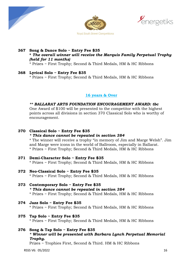





#### **367 Song & Dance Solo ~ Entry Fee \$35 \*** *The overall winner will receive the Marquis Family Perpetual Trophy (held for 11 months)*

\* Prizes ~ First Trophy; Second & Third Medals, HM & HC Ribbons

#### **368 Lyrical Solo ~ Entry Fee \$35**

\* Prizes ~ First Trophy; Second & Third Medals, HM & HC Ribbons

#### **16 years & Over**

*\*\* BALLARAT ARTS FOUNDATION ENCOURAGEMENT AWARD: tbc* One Award of \$100 will be presented to the competitor with the highest points across all divisions in section 370 Classical Solo who is worthy of encouragement.

#### **370 Classical Solo ~ Entry Fee \$35**

#### *\* This dance cannot be repeated in section 384*

\* The winner will receive a trophy "in memory of Jim and Marge Welsh". Jim and Marge were icons in the world of Ballroom, especially in Ballarat. \* Prizes ~ First Trophy; Second & Third Medals, HM & HC Ribbons

#### **371 Demi-Character Solo ~ Entry Fee \$35**

\* Prizes ~ First Trophy; Second & Third Medals, HM & HC Ribbons

#### **372 Neo-Classical Solo ~ Entry Fee \$35**

\* Prizes ~ First Trophy; Second & Third Medals, HM & HC Ribbons

#### **373 Contemporary Solo ~ Entry Fee \$35**

#### *\* This dance cannot be repeated in section 384*

\* Prizes ~ First Trophy; Second & Third Medals, HM & HC Ribbons

#### **374 Jazz Solo ~ Entry Fee \$35**

\* Prizes ~ First Trophy; Second & Third Medals, HM & HC Ribbons

#### **375 Tap Solo ~ Entry Fee \$35**

\* Prizes ~ First Trophy; Second & Third Medals, HM & HC Ribbons

#### **376 Song & Tap Solo ~ Entry Fee \$35** *\* Winner will be presented with Barbara Lynch Perpetual Memorial Trophy.*

Prizes ~ Trophies First, Second & Third. HM & HC Ribbons

RSSS V6: 05/2022 16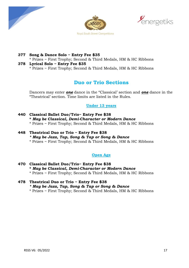





#### **377 Song & Dance Solo ~ Entry Fee \$35**

\* Prizes ~ First Trophy; Second & Third Medals, HM & HC Ribbons

#### **378 Lyrical Solo ~ Entry Fee \$35**

\* Prizes ~ First Trophy; Second & Third Medals, HM & HC Ribbons

## **Duo or Trio Sections**

Dancers may enter *one* dance in the "Classical' section and *one* dance in the "Theatrical' section. Time limits are listed in the Rules.

#### **Under 13 years**

## **440 Classical Ballet Duo/Trio~ Entry Fee \$38 \*** *May be Classical, Demi-Character or Modern Dance* \* Prizes ~ First Trophy; Second & Third Medals, HM & HC Ribbons **448 Theatrical Duo or Trio ~ Entry Fee \$38**

# *\* May be Jazz, Tap, Song & Tap or Song & Dance*

\* Prizes ~ First Trophy; Second & Third Medals, HM & HC Ribbons

#### **Open Age**

#### **470 Classical Ballet Duo/Trio~ Entry Fee \$38 \*** *May be Classical, Demi-Character or Modern Dance* \* Prizes ~ First Trophy; Second & Third Medals, HM & HC Ribbons

#### **478 Theatrical Duo or Trio ~ Entry Fee \$38**

*\* May be Jazz, Tap, Song & Tap or Song & Dance*

\* Prizes ~ First Trophy; Second & Third Medals, HM & HC Ribbons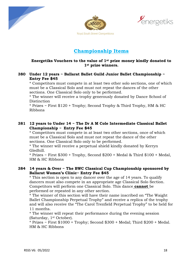





## **Championship Items**

#### **Energetiks Vouchers to the value of 1st prize money kindly donated to 1st prize winners.**

#### **380 Under 12 years ~ Ballarat Ballet Guild Junior Ballet Championship ~ Entry Fee \$45**

\* Competitors must compete in at least two other solo sections, one of which must be a Classical Solo and must not repeat the dances of the other sections. One Classical Solo only to be performed.

\* The winner will receive a trophy generously donated by Dance School of Distinction

\* Prizes ~ First \$120 + Trophy; Second Trophy & Third Trophy, HM & HC Ribbons

#### **381 12 years to Under 14 ~ The Dr A M Cole Intermediate Classical Ballet Championship ~ Entry Fee \$45**

\* Competitors must compete in at least two other sections, once of which must be a Classical Solo and must not repeat the dance of the other sections. One Classical Solo only to be performed.

\* The winner will receive a perpetual shield kindly donated by Kerryn Gledhill.

\* Prizes ~ First  $$300 + Trophy$ , Second  $$200 + Medal & Third $100 + Medal$ , HM & HC Ribbons

#### **384 14 years & Over ~ The BWC Classical Cup Championship sponsored by Ballarat Women's Clinic~ Entry Fee \$45**

\* This section is open to any dancer over the age of 14 years. To qualify dancers must also compete in an appropriate age Classical Solo Section. Competitors will perform one Classical Solo. This dance **cannot** be performed or repeated in any other section.

\* The winner of this section will have their name inscribed on "The Waight Ballet Championship Perpetual Trophy" and receive a replica of the trophy and will also receive the "The Carol Trenfield Perpetual Trophy" to be held for 11 months.

\* The winner will repeat their performance during the evening session (Saturday, 1st October).

 $*$  Prizes ~ First \$1000 + Trophy; Second \$300 + Medal; Third \$200 + Medal. HM & HC Ribbons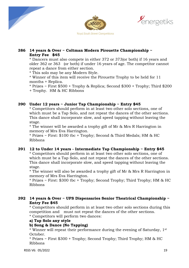





#### **386 14 years & Over ~ Coltman Modern Pirouette Championship ~ Entry Fee \$45**

\* Dancers must also compete in either 372 or 373(or both) if 16 years and older 362 or 363 (or both) if under 16 years of age. The competitor cannot repeat a dance from either section.

\* This solo may be any Modern Style.

\* Winner of this item will receive the Pirouette Trophy to be held for 11 months + Replica.

\* Prizes ~ First \$500 + Trophy & Replica; Second \$300 + Trophy; Third \$200 + Trophy. HM & HC Ribbons

#### **390 Under 12 years ~ Junior Tap Championship ~ Entry \$45**

\* Competitors should perform in at least two other solo sections, one of which must be a Tap Solo, and not repeat the dances of the other sections. This dance shall incorporate slow, and speed tapping without leaving the stage.

\* The winner will be awarded a trophy gift of Mr & Mrs R Harrington in memory of Mrs Eva Harrington.

\* Prizes ~ First: \$100 tbc + Trophy; Second & Third Medals; HM & HC Ribbons

#### **391 12 to Under 14 years - Intermediate Tap Championship ~ Entry \$45**

\* Competitors should perform in at least two other solo sections, one of which must be a Tap Solo, and not repeat the dances of the other sections. This dance shall incorporate slow, and speed tapping without leaving the stage.

\* The winner will also be awarded a trophy gift of Mr & Mrs R Harrington in memory of Mrs Eva Harrington.

\* Prizes ~ First: \$300 tbc + Trophy; Second Trophy; Third Trophy; HM & HC Ribbons

#### **392 14 years & Over ~ UFS Dispensaries Senior Theatrical Championship ~ Entry Fee \$45**

\* Competitors should perform in at least two other solo sections during this competition and must not repeat the dances of the other sections.

\* Competitors will perform two dances:

#### **a) Tap Solo any style**

#### **b) Song & Dance (No Tapping)**

\* Winner will repeat their performance during the evening of Saturday, 1st October.

\* Prizes ~ First \$300 + Trophy; Second Trophy; Third Trophy; HM & HC Ribbons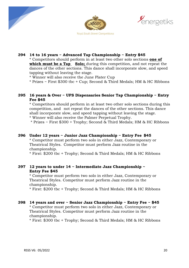





#### **394 14 to 16 years ~ Advanced Tap Championship ~ Entry \$45**

\* Competitors should perform in at least two other solo sections **one of which must be a Tap** Solo; during this competition, and not repeat the dances of the other sections. This dance shall incorporate slow, and speed tapping without leaving the stage.

\* Winner will also receive the June Plater Cup

\* Prizes ~ First \$300 tbc + Cup; Second & Third Medals; HM & HC Ribbons

#### **395 16 years & Over ~ UFS Dispensaries Senior Tap Championship ~ Entry Fee \$45**

\* Competitors should perform in at least two other solo sections during this competition, and not repeat the dances of the other sections. This dance shall incorporate slow, and speed tapping without leaving the stage.

\* Winner will also receive the Palmer Perpetual Trophy.

\* Prizes ~ First \$300 + Trophy; Second & Third Medals; HM & HC Ribbons

#### **396 Under 12 years ~ Junior Jazz Championship ~ Entry Fee \$45**

\* Competitor must perform two solo in either Jazz, Contemporary or Theatrical Styles. Competitor must perform Jazz routine in the championship.

\* First: \$200 tbc + Trophy; Second & Third Medals; HM & HC Ribbons

#### **397 12 years to under 14 ~ Intermediate Jazz Championship ~ Entry Fee \$45**

\* Competitor must perform two solo in either Jazz, Contemporary or Theatrical Styles. Competitor must perform Jazz routine in the championship.

\* First: \$200 tbc + Trophy; Second & Third Medals; HM & HC Ribbons

#### **398 14 years and over ~ Senior Jazz Championship ~ Entry Fee ~ \$45**

\* Competitor must perform two solo in either Jazz, Contemporary or Theatrical Styles. Competitor must perform Jazz routine in the championship.

\* First: \$300 tbc + Trophy; Second & Third Medals; HM & HC Ribbons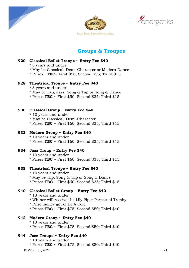





## **Groups & Troupes**

#### **920 Classical Ballet Troupe ~ Entry Fee \$40**

- \* 8 years and under
- \* May be Classical, Demi-Character or Modern Dance
- \* Prizes: **TBC**~ First \$50; Second \$35; Third \$15

#### **928 Theatrical Troupe ~ Entry Fee \$40**

- \* 8 years and under
- \* May be Tap, Jazz, Song & Tap or Song & Dance
- \* Prizes **TBC** ~ First \$50; Second \$35; Third \$15

#### **930 Classical Group ~ Entry Fee \$40**

- **\*** 10 years and under
- \* May be Classical, Demi-Character
- \* Prizes **TBC** ~ First \$60; Second \$35; Third \$15

#### **932 Modern Group ~ Entry Fee \$40**

**\*** 10 years and under \* Prizes **TBC** ~ First \$60; Second \$35; Third \$15

#### **934 Jazz Troup ~ Entry Fee \$40**

**\*** 10 years and under

\* Prizes **TBC** ~ First \$60; Second \$35; Third \$15

#### **938 Theatrical Troupe ~ Entry Fee \$40**

- **\*** 10 years and under
- \* May be Tap, Song & Tap or Song & Dance
- \* Prizes **TBC** ~ First \$60; Second \$35; Third \$15

#### **940 Classical Ballet Group ~ Entry Fee \$40**

- \* 13 years and under
- \* Winner will receive the Lily Piper Perpetual Trophy
- \* Prize money gift of Dr A Cole
- \* Prizes **TBC** ~ First \$75; Second \$50; Third \$40

#### **942 Modern Group ~ Entry Fee \$40**

- \* 13 years and under
- \* Prizes **TBC** ~ First \$75; Second \$50; Third \$40

#### **944 Jazz Troupe ~ Entry Fee \$40**

- \* 13 years and under
- \* Prizes **TBC** ~ First \$75; Second \$50; Third \$40

RSSS V6: 05/2022 21 22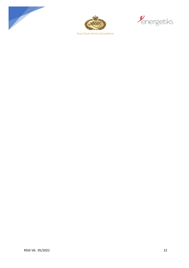



**Royal South Street Competitions** 

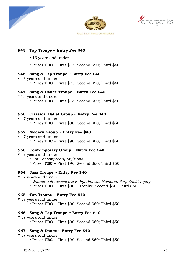





#### **945 Tap Troupe ~ Entry Fee \$40**

- \* 13 years and under
- \* Prizes **TBC** ~ First \$75; Second \$50; Third \$40

#### **946 Song & Tap Troupe ~ Entry Fee \$40**

**\*** 13 years and under \* Prizes **TBC** ~ First \$75; Second \$50; Third \$40

#### **947 Song & Dance Troupe ~ Entry Fee \$40**

\* 13 years and under \* Prizes **TBC** ~ First \$75; Second \$50; Third \$40

#### **960 Classical Ballet Group ~ Entry Fee \$40**

**\*** 17 years and under \* Prizes **TBC** ~ First \$90; Second \$60; Third \$50

#### **962 Modern Group ~ Entry Fee \$40**

**\*** 17 years and under \* Prizes **TBC** ~ First \$90; Second \$60; Third \$50

#### **963 Contemporary Group ~ Entry Fee \$40**

**\*** 17 years and under *\* For Contemporary Style only* \* Prizes **TBC** ~ First \$90; Second \$60; Third \$50

#### **964 Jazz Troupe ~ Entry Fee \$40**

**\*** 17 years and under *\* Winner will receive the Robyn Pascoe Memorial Perpetual Trophy* \* Prizes **TBC** ~ First \$90 + Trophy; Second \$60; Third \$50

#### **965 Tap Troupe ~ Entry Fee \$40**

**\*** 17 years and under \* Prizes **TBC** ~ First \$90; Second \$60; Third \$50

#### **966 Song & Tap Troupe ~ Entry Fee \$40**

**\*** 17 years and under \* Prizes **TBC** ~ First \$90; Second \$60; Third \$50

#### **967 Song & Dance ~ Entry Fee \$40**

#### **\*** 17 years and under

\* Prizes **TBC** ~ First \$90; Second \$60; Third \$50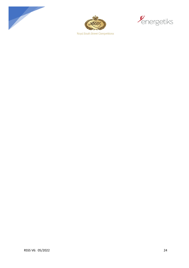



**Royal South Street Competitions** 

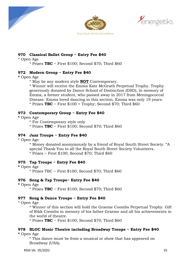





#### **970 Classical Ballet Group ~ Entry Fee \$40**

\* Open Age

\* Prizes **TBC** ~ First \$100; Second \$70; Third \$60

#### **972 Modern Group ~ Entry Fee \$40**

#### **\*** Open Age

\* May be any modern style **NOT** Contemporary.

\* Winner will receive the Emma Kate McGrath Perpetual Trophy. Trophy generously donated by Dance School of Distinction (DSD), in memory of Emma, a former student, who passed away in 2017 from Meningococcal Disease. Emma loved dancing in this section. Emma was only 19 years. \* Prizes **TBC** ~ First \$100 + Trophy; Second \$70; Third \$60

#### **973 Contemporary Group ~ Entry Fee \$40**

**\*** Open Age

\* For Contemporary style only

\* Prizes **TBC** ~ First \$100; Second \$70; Third \$60

#### **974 Jazz Troupe ~ Entry Fee \$40**

\* Open Age

\* Money donated anonymously by a friend of Royal South Street Society. "A special Thank You to all the Royal South Street Society Volunteers.

\* Prizes ~ First \$100; Second \$70; Third \$60

#### **975 Tap Troupe ~ Entry Fee \$40**

#### **\*** Open Age

\* Prizes TBC ~ First \$100; Second \$70; Third \$60

#### **976 Song & Tap Troupe~ Entry Fee \$40**

#### **\*** Open Age

\* Prizes **TBC** ~ First \$100; Second \$70; Third \$60

#### **977 Song & Dance Troupe ~ Entry Fee \$40**

\* Open Age

\* Winner of this section will hold the Graeme Coombs Perpetual Trophy. Gift of Rikk Coombs in memory of his father Graeme and all his achievements in the world of theatre.

\* Prizes **TBC** ~ First \$100; Second \$70; Third \$60

#### **978 BLOC Music Theatre including Broadway Troupe ~ Entry Fee \$40 \*** Open Age

\* This dance must be from a musical or show that has appeared on Broadway (USA).

RSSS V6: 05/2022 25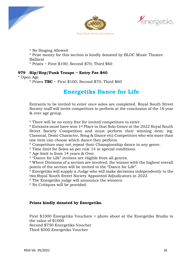





\* No Singing Allowed

\* Prize money for this section is kindly donated by BLOC Music Theatre Ballarat

 $*$  Prizes ~ First \$100; Second \$70; Third \$60

#### **979 Hip/Hop/Funk Troupe ~ Entry Fee \$40**

\* Open Age

\* Prizes **TBC** ~ First \$100; Second \$70; Third \$60

## **Energetiks Dance for Life**

Entrants to be invited to enter once solos are completed. Royal South Street Society staff will invite competitors to perform at the conclusion of the 16 year & over age group.

\* There will be no entry free for invited competitors to enter.

\* Entrants must have won 1st Place in that Solo Genre at the 2022 Royal South Street Society Competition and must perform their winning item: (eg: Classical, Demi-Character, Song & Dance etc) Competitors who win more than one item can choose which dance they perform.

\* Competitors may not repeat their Championship dance in any genre.

\* Time limit for Solos as per rule 14 in special conditions.

\* Age limit is from 14 years & Over

\* "Dance for Life" invitees are eligible from all genres.

\* Where Divisions of a section are involved, the winner with the highest overall points of the section will be invited to the "Dance for Life".

\* Energetiks will supply a Judge who will make decisions independently to the two Royal South Street Society Appointed Adjudicators in 2022.

\* The Energetiks judge will announce the winners

\* No Critiques will be provided.

#### **Prizes kindly donated by Energetiks.**

First \$1000 Energetiks Vouchers + photo shoot at the Energetiks Studio to the value of \$1000 Second \$750 Energetiks Voucher

Third \$500 Energetiks Voucher